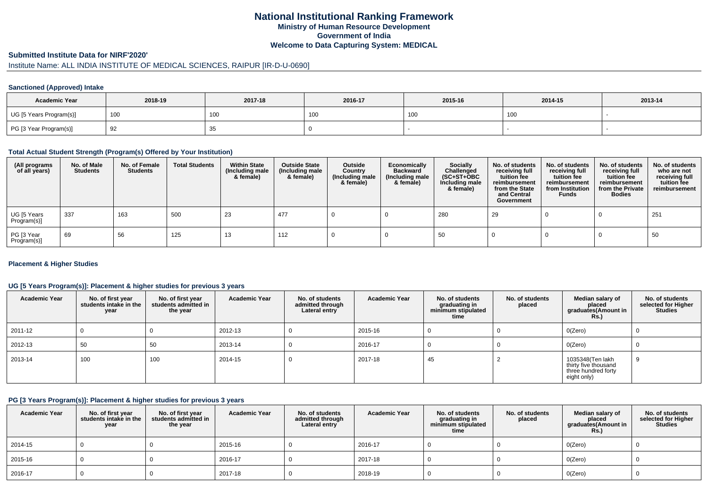# **National Institutional Ranking FrameworkMinistry of Human Resource DevelopmentGovernment of IndiaWelcome to Data Capturing System: MEDICAL**

#### **Submitted Institute Data for NIRF'2020'**

# Institute Name: ALL INDIA INSTITUTE OF MEDICAL SCIENCES, RAIPUR [IR-D-U-0690]

#### **Sanctioned (Approved) Intake**

| <b>Academic Year</b>    | 2018-19   | 2017-18         | 2016-17 | 2015-16 | 2014-15 | 2013-14 |
|-------------------------|-----------|-----------------|---------|---------|---------|---------|
| UG [5 Years Program(s)] | 100       | 10 <sub>C</sub> | , UU    | 100     | 100     |         |
| PG [3 Year Program(s)]  | -Q2<br>ےت | ັບ              |         |         |         |         |

#### **Total Actual Student Strength (Program(s) Offered by Your Institution)**

| (All programs<br>of all years) | No. of Male<br><b>Students</b> | No. of Female<br>Students | <b>Total Students</b> | <b>Within State</b><br>(Including male<br>& female) | <b>Outside State</b><br>(Including male<br>& female) | Outside<br>Country<br>(Including male<br>& female) | Economically<br><b>Backward</b><br>(Including male<br>& female) | <b>Socially</b><br>Challenged<br>$(SC+ST+OBC)$<br>Including male<br>& female) | No. of students<br>receiving full<br>tuition fee<br>reimbursement<br>from the State<br>and Central<br>Government | No. of students<br>receiving full<br>tuition fee<br>reimbursement<br>from Institution<br><b>Funds</b> | No. of students<br>receiving full<br>tuition fee<br>reimbursement<br>from the Private<br><b>Bodies</b> | No. of students<br>who are not<br>receiving full<br>tuition fee<br>reimbursement |
|--------------------------------|--------------------------------|---------------------------|-----------------------|-----------------------------------------------------|------------------------------------------------------|----------------------------------------------------|-----------------------------------------------------------------|-------------------------------------------------------------------------------|------------------------------------------------------------------------------------------------------------------|-------------------------------------------------------------------------------------------------------|--------------------------------------------------------------------------------------------------------|----------------------------------------------------------------------------------|
| UG [5 Years<br>Program(s)]     | 337                            | 163                       | 500                   | 23                                                  | 477                                                  |                                                    |                                                                 | 280                                                                           | 29                                                                                                               |                                                                                                       |                                                                                                        | 251                                                                              |
| PG [3 Year<br>Program(s)]      | 69                             | 56                        | 125                   | 13                                                  | 112                                                  |                                                    |                                                                 | 50                                                                            |                                                                                                                  |                                                                                                       |                                                                                                        | 50                                                                               |

#### **Placement & Higher Studies**

#### **UG [5 Years Program(s)]: Placement & higher studies for previous 3 years**

| <b>Academic Year</b> | No. of first year<br>students intake in the<br>year | No. of first year<br>students admitted in<br>the year | <b>Academic Year</b> | No. of students<br>admitted through<br>Lateral entry | <b>Academic Year</b> | No. of students<br>graduating in<br>minimum stipulated<br>time | No. of students<br>placed | Median salary of<br>placed<br>graduates(Amount in<br><b>Rs.</b> )              | No. of students<br>selected for Higher<br><b>Studies</b> |
|----------------------|-----------------------------------------------------|-------------------------------------------------------|----------------------|------------------------------------------------------|----------------------|----------------------------------------------------------------|---------------------------|--------------------------------------------------------------------------------|----------------------------------------------------------|
| 2011-12              |                                                     |                                                       | 2012-13              |                                                      | 2015-16              |                                                                |                           | O(Zero)                                                                        |                                                          |
| 2012-13              | 50                                                  | 50                                                    | 2013-14              |                                                      | 2016-17              |                                                                |                           | O(Zero)                                                                        |                                                          |
| 2013-14              | 100                                                 | 100                                                   | 2014-15              | υ                                                    | 2017-18              | 45                                                             |                           | 1035348(Ten lakh<br>thirty five thousand<br>three hundred forty<br>eight only) |                                                          |

#### **PG [3 Years Program(s)]: Placement & higher studies for previous 3 years**

| <b>Academic Year</b> | No. of first year<br>students intake in the<br>year | No. of first year<br>students admitted in<br>the year | <b>Academic Year</b> | No. of students<br>admitted through<br>Lateral entry | <b>Academic Year</b> | No. of students<br>graduating in<br>minimum stipulated<br>time | No. of students<br>placed | Median salary of<br>placed<br>graduates(Amount in<br><b>Rs.)</b> | No. of students<br>selected for Higher<br><b>Studies</b> |
|----------------------|-----------------------------------------------------|-------------------------------------------------------|----------------------|------------------------------------------------------|----------------------|----------------------------------------------------------------|---------------------------|------------------------------------------------------------------|----------------------------------------------------------|
| 2014-15              |                                                     |                                                       | 2015-16              |                                                      | 2016-17              |                                                                |                           | O(Zero)                                                          |                                                          |
| 2015-16              |                                                     |                                                       | 2016-17              |                                                      | 2017-18              |                                                                |                           | O(Zero)                                                          |                                                          |
| 2016-17              |                                                     |                                                       | 2017-18              |                                                      | 2018-19              |                                                                |                           | O(Zero)                                                          |                                                          |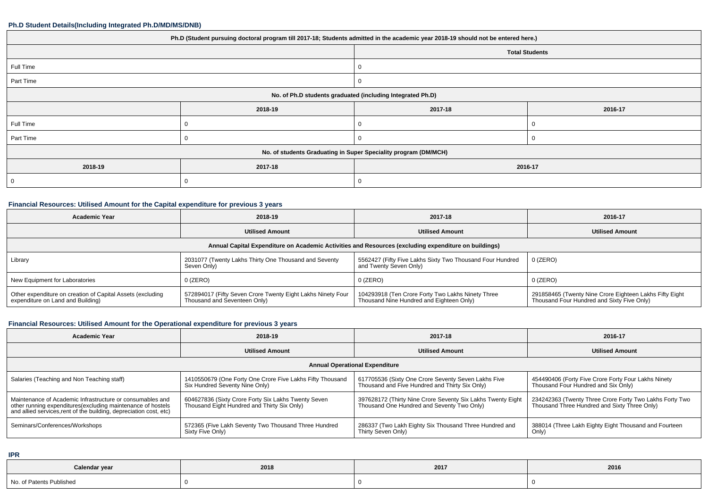| Ph.D (Student pursuing doctoral program till 2017-18; Students admitted in the academic year 2018-19 should not be entered here.) |         |                       |         |  |
|-----------------------------------------------------------------------------------------------------------------------------------|---------|-----------------------|---------|--|
|                                                                                                                                   |         | <b>Total Students</b> |         |  |
| Full Time                                                                                                                         |         |                       |         |  |
| Part Time                                                                                                                         |         | 0                     |         |  |
| No. of Ph.D students graduated (including Integrated Ph.D)                                                                        |         |                       |         |  |
|                                                                                                                                   | 2018-19 | 2017-18               | 2016-17 |  |
| Full Time                                                                                                                         |         | 0                     |         |  |
| Part Time                                                                                                                         |         | 0                     |         |  |
| No. of students Graduating in Super Speciality program (DM/MCH)                                                                   |         |                       |         |  |
| 2018-19                                                                                                                           | 2017-18 | 2016-17               |         |  |
|                                                                                                                                   |         | U                     |         |  |

### **Financial Resources: Utilised Amount for the Capital expenditure for previous 3 years**

| Academic Year                                                                                        | 2018-19                                                                                     | 2017-18                                                                                       | 2016-17                                                                                               |  |  |  |
|------------------------------------------------------------------------------------------------------|---------------------------------------------------------------------------------------------|-----------------------------------------------------------------------------------------------|-------------------------------------------------------------------------------------------------------|--|--|--|
|                                                                                                      | <b>Utilised Amount</b>                                                                      | <b>Utilised Amount</b>                                                                        | <b>Utilised Amount</b>                                                                                |  |  |  |
| Annual Capital Expenditure on Academic Activities and Resources (excluding expenditure on buildings) |                                                                                             |                                                                                               |                                                                                                       |  |  |  |
| Library                                                                                              | 2031077 (Twenty Lakhs Thirty One Thousand and Seventy<br>Seven Only)                        | 5562427 (Fifty Five Lakhs Sixty Two Thousand Four Hundred<br>and Twenty Seven Only)           | 0 (ZERO)                                                                                              |  |  |  |
| New Equipment for Laboratories                                                                       | 0 (ZERO)                                                                                    | $0$ (ZERO)                                                                                    | 0 (ZERO)                                                                                              |  |  |  |
| Other expenditure on creation of Capital Assets (excluding<br>expenditure on Land and Building)      | 572894017 (Fifty Seven Crore Twenty Eight Lakhs Ninety Four<br>Thousand and Seventeen Only) | 104293918 (Ten Crore Forty Two Lakhs Ninety Three<br>Thousand Nine Hundred and Eighteen Only) | 291858465 (Twenty Nine Crore Eighteen Lakhs Fifty Eight<br>Thousand Four Hundred and Sixty Five Only) |  |  |  |

#### **Financial Resources: Utilised Amount for the Operational expenditure for previous 3 years**

| <b>Academic Year</b>                                                                                                                                                                           | 2018-19                                                                                            | 2017-18                                                                                                   | 2016-17                                                                                                 |  |  |  |
|------------------------------------------------------------------------------------------------------------------------------------------------------------------------------------------------|----------------------------------------------------------------------------------------------------|-----------------------------------------------------------------------------------------------------------|---------------------------------------------------------------------------------------------------------|--|--|--|
|                                                                                                                                                                                                | <b>Utilised Amount</b>                                                                             | <b>Utilised Amount</b>                                                                                    | <b>Utilised Amount</b>                                                                                  |  |  |  |
| <b>Annual Operational Expenditure</b>                                                                                                                                                          |                                                                                                    |                                                                                                           |                                                                                                         |  |  |  |
| Salaries (Teaching and Non Teaching staff)                                                                                                                                                     | 1410550679 (One Forty One Crore Five Lakhs Fifty Thousand<br>Six Hundred Seventy Nine Only)        | 617705536 (Sixty One Crore Seventy Seven Lakhs Five<br>Thousand and Five Hundred and Thirty Six Only)     | 454490406 (Forty Five Crore Forty Four Lakhs Ninety<br>Thousand Four Hundred and Six Only)              |  |  |  |
| Maintenance of Academic Infrastructure or consumables and<br>other running expenditures(excluding maintenance of hostels<br>and allied services, rent of the building, depreciation cost, etc) | 604627836 (Sixty Crore Forty Six Lakhs Twenty Seven<br>Thousand Eight Hundred and Thirty Six Only) | 397628172 (Thirty Nine Crore Seventy Six Lakhs Twenty Eight<br>Thousand One Hundred and Seventy Two Only) | 234242363 (Twenty Three Crore Forty Two Lakhs Forty Two<br>Thousand Three Hundred and Sixty Three Only) |  |  |  |
| Seminars/Conferences/Workshops                                                                                                                                                                 | 572365 (Five Lakh Seventy Two Thousand Three Hundred<br>Sixty Five Only)                           | 286337 (Two Lakh Eighty Six Thousand Three Hundred and<br>Thirty Seven Only)                              | 388014 (Three Lakh Eighty Eight Thousand and Fourteen<br>Only)                                          |  |  |  |

**IPR**

| Calendar year                      | 2018 | 2017 | 2016 |
|------------------------------------|------|------|------|
| Nn.<br>$\cdot$ FD oton.<br>olisher |      |      |      |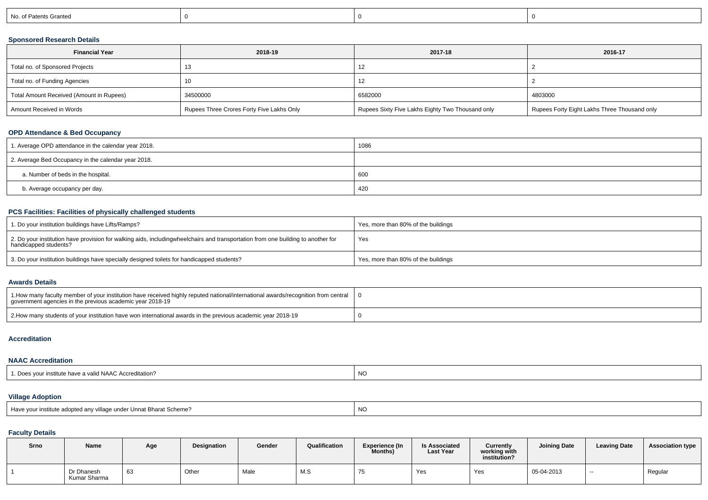| No. of Patents Granted |
|------------------------|
|------------------------|

# **Sponsored Research Details**

| <b>Financial Year</b>                    | 2018-19                                   | 2017-18                                          | 2016-17                                      |
|------------------------------------------|-------------------------------------------|--------------------------------------------------|----------------------------------------------|
| Total no. of Sponsored Projects          |                                           |                                                  |                                              |
| Total no. of Funding Agencies            | 10                                        |                                                  |                                              |
| Total Amount Received (Amount in Rupees) | 34500000                                  | 6582000                                          | 4803000                                      |
| Amount Received in Words                 | Rupees Three Crores Forty Five Lakhs Only | Rupees Sixty Five Lakhs Eighty Two Thousand only | Rupees Forty Eight Lakhs Three Thousand only |

# **OPD Attendance & Bed Occupancy**

| 1. Average OPD attendance in the calendar year 2018. | 1086 |
|------------------------------------------------------|------|
| 2. Average Bed Occupancy in the calendar year 2018.  |      |
| a. Number of beds in the hospital.                   | 600  |
| b. Average occupancy per day.                        | 420  |

# **PCS Facilities: Facilities of physically challenged students**

| 1. Do your institution buildings have Lifts/Ramps?                                                                                                        | Yes, more than 80% of the buildings |
|-----------------------------------------------------------------------------------------------------------------------------------------------------------|-------------------------------------|
| 2. Do your institution have provision for walking aids, includingwheelchairs and transportation from one building to another for<br>handicapped students? | Yes                                 |
| 3. Do your institution buildings have specially designed toilets for handicapped students?                                                                | Yes, more than 80% of the buildings |

#### **Awards Details**

| 1. 1. How many faculty member of your institution have received highly reputed national/international awards/recognition from central<br>government agencies in the previous academic year 2018-19 |  |
|----------------------------------------------------------------------------------------------------------------------------------------------------------------------------------------------------|--|
| 2. 2. How many students of your institution have won international awards in the previous academic year 2018-19                                                                                    |  |

#### **Accreditation**

#### **NAAC Accreditation**

# **Village Adoption**

| Have your institute adopted any village under Unnat Bharat Scheme? | $\overline{M}$ |
|--------------------------------------------------------------------|----------------|
|                                                                    | יעו            |

# **Faculty Details**

| Srno | Name                       | Age | <b>Designation</b> | Gender | Qualification | Experience (In<br>Months) | <b>Is Associated</b><br><b>Last Year</b> | Currently<br>working with<br>institution? | <b>Joining Date</b> | <b>Leaving Date</b> | <b>Association type</b> |
|------|----------------------------|-----|--------------------|--------|---------------|---------------------------|------------------------------------------|-------------------------------------------|---------------------|---------------------|-------------------------|
|      | Dr Dhanesh<br>Kumar Sharma | ხა  | Other              | Male   | M.S           |                           | Yes                                      | Yes                                       | 05-04-2013          | $-$                 | Regular                 |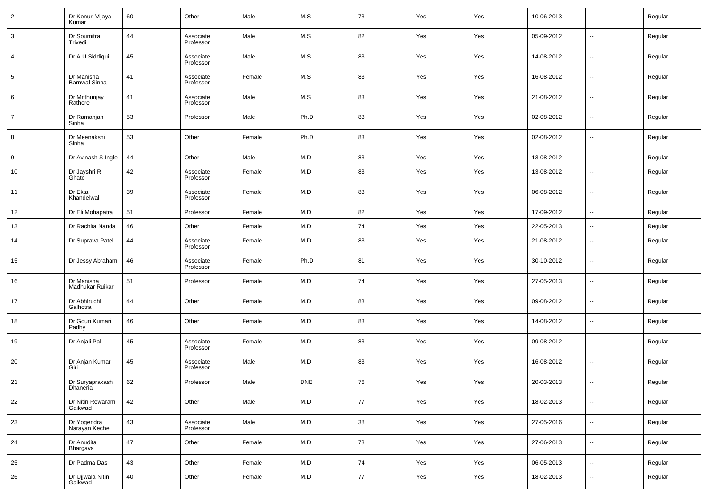| $\overline{2}$ | Dr Konuri Vijaya<br>Kumar          | 60 | Other                  | Male   | M.S        | 73         | Yes | Yes | 10-06-2013 | $\overline{\phantom{a}}$ | Regular |
|----------------|------------------------------------|----|------------------------|--------|------------|------------|-----|-----|------------|--------------------------|---------|
| 3              | Dr Soumitra<br>Trivedi             | 44 | Associate<br>Professor | Male   | M.S        | 82         | Yes | Yes | 05-09-2012 | $\overline{\phantom{a}}$ | Regular |
| $\overline{4}$ | Dr A U Siddiqui                    | 45 | Associate<br>Professor | Male   | M.S        | 83         | Yes | Yes | 14-08-2012 | $\overline{\phantom{a}}$ | Regular |
| 5              | Dr Manisha<br><b>Barnwal Sinha</b> | 41 | Associate<br>Professor | Female | M.S        | 83         | Yes | Yes | 16-08-2012 | $\overline{\phantom{a}}$ | Regular |
| 6              | Dr Mrithunjay<br>Rathore           | 41 | Associate<br>Professor | Male   | M.S        | 83         | Yes | Yes | 21-08-2012 | $\overline{\phantom{a}}$ | Regular |
| $\overline{7}$ | Dr Ramanjan<br>Sinha               | 53 | Professor              | Male   | Ph.D       | 83         | Yes | Yes | 02-08-2012 | $\overline{\phantom{a}}$ | Regular |
| 8              | Dr Meenakshi<br>Sinha              | 53 | Other                  | Female | Ph.D       | 83         | Yes | Yes | 02-08-2012 | $\overline{\phantom{a}}$ | Regular |
| 9              | Dr Avinash S Ingle                 | 44 | Other                  | Male   | M.D        | 83         | Yes | Yes | 13-08-2012 | $\overline{\phantom{a}}$ | Regular |
| 10             | Dr Jayshri R<br>Ghate              | 42 | Associate<br>Professor | Female | M.D        | 83         | Yes | Yes | 13-08-2012 | $\overline{\phantom{a}}$ | Regular |
| 11             | Dr Ekta<br>Khandelwal              | 39 | Associate<br>Professor | Female | M.D        | 83         | Yes | Yes | 06-08-2012 | $\overline{\phantom{a}}$ | Regular |
| 12             | Dr Eli Mohapatra                   | 51 | Professor              | Female | M.D        | 82         | Yes | Yes | 17-09-2012 | $\overline{\phantom{a}}$ | Regular |
| 13             | Dr Rachita Nanda                   | 46 | Other                  | Female | M.D        | 74         | Yes | Yes | 22-05-2013 | --                       | Regular |
| 14             | Dr Suprava Patel                   | 44 | Associate<br>Professor | Female | M.D        | 83         | Yes | Yes | 21-08-2012 | --                       | Regular |
| 15             | Dr Jessy Abraham                   | 46 | Associate<br>Professor | Female | Ph.D       | 81         | Yes | Yes | 30-10-2012 | --                       | Regular |
| 16             | Dr Manisha<br>Madhukar Ruikar      | 51 | Professor              | Female | M.D        | 74         | Yes | Yes | 27-05-2013 | $\overline{\phantom{a}}$ | Regular |
| 17             | Dr Abhiruchi<br>Galhotra           | 44 | Other                  | Female | M.D        | 83         | Yes | Yes | 09-08-2012 | --                       | Regular |
| 18             | Dr Gouri Kumari<br>Padhy           | 46 | Other                  | Female | M.D        | 83         | Yes | Yes | 14-08-2012 | --                       | Regular |
| 19             | Dr Anjali Pal                      | 45 | Associate<br>Professor | Female | M.D        | 83         | Yes | Yes | 09-08-2012 | --                       | Regular |
| 20             | Dr Anjan Kumar<br>Giri             | 45 | Associate<br>Professor | Male   | M.D        | 83         | Yes | Yes | 16-08-2012 | --                       | Regular |
| 21             | Dr Suryaprakash<br>Dhaneria        | 62 | Professor              | Male   | <b>DNB</b> | 76         | Yes | Yes | 20-03-2013 | --                       | Regular |
| 22             | Dr Nitin Rewaram<br>Gaikwad        | 42 | Other                  | Male   | M.D        | 77         | Yes | Yes | 18-02-2013 | $\overline{\phantom{a}}$ | Regular |
| 23             | Dr Yogendra<br>Narayan Keche       | 43 | Associate<br>Professor | Male   | M.D        | 38         | Yes | Yes | 27-05-2016 | $\overline{\phantom{a}}$ | Regular |
| 24             | Dr Anudita<br>Bhargava             | 47 | Other                  | Female | M.D        | 73         | Yes | Yes | 27-06-2013 | $\overline{\phantom{a}}$ | Regular |
| 25             | Dr Padma Das                       | 43 | Other                  | Female | M.D        | ${\bf 74}$ | Yes | Yes | 06-05-2013 | $\overline{\phantom{a}}$ | Regular |
| 26             | Dr Ujjwala Nitin<br>Gaikwad        | 40 | Other                  | Female | M.D        | 77         | Yes | Yes | 18-02-2013 | $\overline{\phantom{a}}$ | Regular |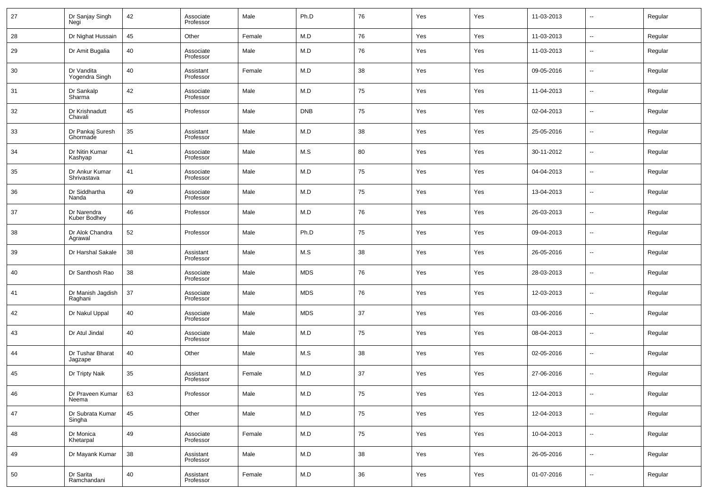| 27 | Dr Sanjay Singh<br>Negi       | 42 | Associate<br>Professor | Male   | Ph.D       | 76 | Yes | Yes | 11-03-2013 | $\overline{\phantom{a}}$ | Regular |
|----|-------------------------------|----|------------------------|--------|------------|----|-----|-----|------------|--------------------------|---------|
| 28 | Dr Nighat Hussain             | 45 | Other                  | Female | M.D        | 76 | Yes | Yes | 11-03-2013 | ۰.                       | Regular |
| 29 | Dr Amit Bugalia               | 40 | Associate<br>Professor | Male   | M.D        | 76 | Yes | Yes | 11-03-2013 | ۰.                       | Regular |
| 30 | Dr Vandita<br>Yogendra Singh  | 40 | Assistant<br>Professor | Female | M.D        | 38 | Yes | Yes | 09-05-2016 | ۰.                       | Regular |
| 31 | Dr Sankalp<br>Sharma          | 42 | Associate<br>Professor | Male   | M.D        | 75 | Yes | Yes | 11-04-2013 | ۰.                       | Regular |
| 32 | Dr Krishnadutt<br>Chavali     | 45 | Professor              | Male   | <b>DNB</b> | 75 | Yes | Yes | 02-04-2013 | ۰.                       | Regular |
| 33 | Dr Pankaj Suresh<br>Ghormade  | 35 | Assistant<br>Professor | Male   | M.D        | 38 | Yes | Yes | 25-05-2016 | ۰.                       | Regular |
| 34 | Dr Nitin Kumar<br>Kashyap     | 41 | Associate<br>Professor | Male   | M.S        | 80 | Yes | Yes | 30-11-2012 | ۰.                       | Regular |
| 35 | Dr Ankur Kumar<br>Shrivastava | 41 | Associate<br>Professor | Male   | M.D        | 75 | Yes | Yes | 04-04-2013 | ۰.                       | Regular |
| 36 | Dr Siddhartha<br>Nanda        | 49 | Associate<br>Professor | Male   | M.D        | 75 | Yes | Yes | 13-04-2013 | ۰.                       | Regular |
| 37 | Dr Narendra<br>Kuber Bodhey   | 46 | Professor              | Male   | M.D        | 76 | Yes | Yes | 26-03-2013 | ۰.                       | Regular |
| 38 | Dr Alok Chandra<br>Agrawal    | 52 | Professor              | Male   | Ph.D       | 75 | Yes | Yes | 09-04-2013 | ۰.                       | Regular |
| 39 | Dr Harshal Sakale             | 38 | Assistant<br>Professor | Male   | M.S        | 38 | Yes | Yes | 26-05-2016 | ۰.                       | Regular |
| 40 | Dr Santhosh Rao               | 38 | Associate<br>Professor | Male   | <b>MDS</b> | 76 | Yes | Yes | 28-03-2013 | ۰.                       | Regular |
| 41 | Dr Manish Jagdish<br>Raghani  | 37 | Associate<br>Professor | Male   | <b>MDS</b> | 76 | Yes | Yes | 12-03-2013 | ۰.                       | Regular |
| 42 | Dr Nakul Uppal                | 40 | Associate<br>Professor | Male   | <b>MDS</b> | 37 | Yes | Yes | 03-06-2016 | ۰.                       | Regular |
| 43 | Dr Atul Jindal                | 40 | Associate<br>Professor | Male   | M.D        | 75 | Yes | Yes | 08-04-2013 | ۰.                       | Regular |
| 44 | Dr Tushar Bharat<br>Jagzape   | 40 | Other                  | Male   | M.S        | 38 | Yes | Yes | 02-05-2016 | $\overline{\phantom{a}}$ | Regular |
| 45 | Dr Tripty Naik                | 35 | Assistant<br>Professor | Female | M.D        | 37 | Yes | Yes | 27-06-2016 | $\overline{\phantom{a}}$ | Regular |
| 46 | Dr Praveen Kumar<br>Neema     | 63 | Professor              | Male   | M.D        | 75 | Yes | Yes | 12-04-2013 | ۰.                       | Regular |
| 47 | Dr Subrata Kumar<br>Singha    | 45 | Other                  | Male   | M.D        | 75 | Yes | Yes | 12-04-2013 | ۰.                       | Regular |
| 48 | Dr Monica<br>Khetarpal        | 49 | Associate<br>Professor | Female | M.D        | 75 | Yes | Yes | 10-04-2013 | ۰.                       | Regular |
| 49 | Dr Mayank Kumar               | 38 | Assistant<br>Professor | Male   | M.D        | 38 | Yes | Yes | 26-05-2016 | ۰.                       | Regular |
| 50 | Dr Sarita<br>Ramchandani      | 40 | Assistant<br>Professor | Female | M.D        | 36 | Yes | Yes | 01-07-2016 | $\overline{\phantom{a}}$ | Regular |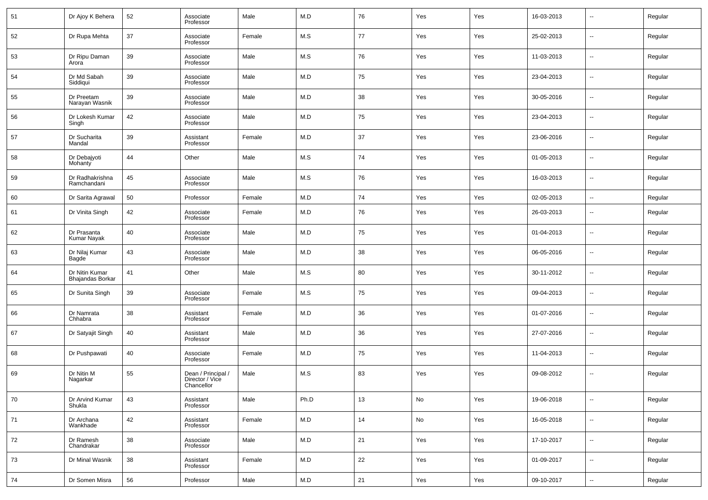| 51 | Dr Ajoy K Behera                   | 52 | Associate<br>Professor                              | Male   | M.D  | 76 | Yes | Yes | 16-03-2013 | --                       | Regular |
|----|------------------------------------|----|-----------------------------------------------------|--------|------|----|-----|-----|------------|--------------------------|---------|
| 52 | Dr Rupa Mehta                      | 37 | Associate<br>Professor                              | Female | M.S  | 77 | Yes | Yes | 25-02-2013 | --                       | Regular |
| 53 | Dr Ripu Daman<br>Arora             | 39 | Associate<br>Professor                              | Male   | M.S  | 76 | Yes | Yes | 11-03-2013 | ш.                       | Regular |
| 54 | Dr Md Sabah<br>Siddiqui            | 39 | Associate<br>Professor                              | Male   | M.D  | 75 | Yes | Yes | 23-04-2013 | ш.                       | Regular |
| 55 | Dr Preetam<br>Narayan Wasnik       | 39 | Associate<br>Professor                              | Male   | M.D  | 38 | Yes | Yes | 30-05-2016 | ш.                       | Regular |
| 56 | Dr Lokesh Kumar<br>Singh           | 42 | Associate<br>Professor                              | Male   | M.D  | 75 | Yes | Yes | 23-04-2013 | --                       | Regular |
| 57 | Dr Sucharita<br>Mandal             | 39 | Assistant<br>Professor                              | Female | M.D  | 37 | Yes | Yes | 23-06-2016 | ш.                       | Regular |
| 58 | Dr Debajyoti<br>Mohanty            | 44 | Other                                               | Male   | M.S  | 74 | Yes | Yes | 01-05-2013 | --                       | Regular |
| 59 | Dr Radhakrishna<br>Ramchandani     | 45 | Associate<br>Professor                              | Male   | M.S  | 76 | Yes | Yes | 16-03-2013 | ш.                       | Regular |
| 60 | Dr Sarita Agrawal                  | 50 | Professor                                           | Female | M.D  | 74 | Yes | Yes | 02-05-2013 | ш.                       | Regular |
| 61 | Dr Vinita Singh                    | 42 | Associate<br>Professor                              | Female | M.D  | 76 | Yes | Yes | 26-03-2013 | $\sim$                   | Regular |
| 62 | Dr Prasanta<br><b>Kumar Nayak</b>  | 40 | Associate<br>Professor                              | Male   | M.D  | 75 | Yes | Yes | 01-04-2013 | ш.                       | Regular |
| 63 | Dr Nilaj Kumar<br>Bagde            | 43 | Associate<br>Professor                              | Male   | M.D  | 38 | Yes | Yes | 06-05-2016 | $\sim$                   | Regular |
| 64 | Dr Nitin Kumar<br>Bhajandas Borkar | 41 | Other                                               | Male   | M.S  | 80 | Yes | Yes | 30-11-2012 | н.                       | Regular |
| 65 | Dr Sunita Singh                    | 39 | Associate<br>Professor                              | Female | M.S  | 75 | Yes | Yes | 09-04-2013 | $\sim$                   | Regular |
| 66 | Dr Namrata<br>Chhabra              | 38 | Assistant<br>Professor                              | Female | M.D  | 36 | Yes | Yes | 01-07-2016 | н.                       | Regular |
| 67 | Dr Satyajit Singh                  | 40 | Assistant<br>Professor                              | Male   | M.D  | 36 | Yes | Yes | 27-07-2016 | $\sim$                   | Regular |
| 68 | Dr Pushpawati                      | 40 | Associate<br>Professor                              | Female | M.D  | 75 | Yes | Yes | 11-04-2013 | н.                       | Regular |
| 69 | Dr Nitin M<br>Nagarkar             | 55 | Dean / Principal /<br>Director / Vice<br>Chancellor | Male   | M.S  | 83 | Yes | Yes | 09-08-2012 | --                       | Regular |
| 70 | Dr Arvind Kumar<br>Shukla          | 43 | Assistant<br>Professor                              | Male   | Ph.D | 13 | No  | Yes | 19-06-2018 | $\sim$                   | Regular |
| 71 | Dr Archana<br>Wankhade             | 42 | Assistant<br>Professor                              | Female | M.D  | 14 | No  | Yes | 16-05-2018 | $\overline{\phantom{a}}$ | Regular |
| 72 | Dr Ramesh<br>Chandrakar            | 38 | Associate<br>Professor                              | Male   | M.D  | 21 | Yes | Yes | 17-10-2017 | $\sim$                   | Regular |
| 73 | Dr Minal Wasnik                    | 38 | Assistant<br>Professor                              | Female | M.D  | 22 | Yes | Yes | 01-09-2017 | $\overline{\phantom{a}}$ | Regular |
| 74 | Dr Somen Misra                     | 56 | Professor                                           | Male   | M.D  | 21 | Yes | Yes | 09-10-2017 | $\overline{\phantom{a}}$ | Regular |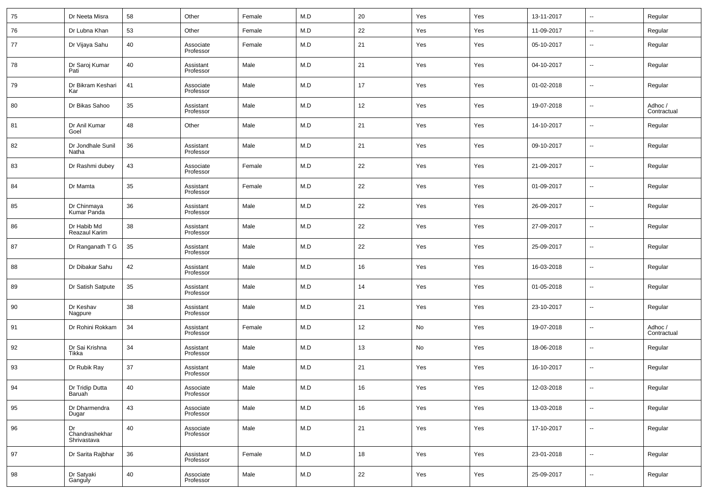| 75 | Dr Neeta Misra                         | 58 | Other                  | Female | M.D         | 20     | Yes | Yes | 13-11-2017 | н.                       | Regular                |
|----|----------------------------------------|----|------------------------|--------|-------------|--------|-----|-----|------------|--------------------------|------------------------|
| 76 | Dr Lubna Khan                          | 53 | Other                  | Female | M.D         | 22     | Yes | Yes | 11-09-2017 | $\overline{\phantom{a}}$ | Regular                |
| 77 | Dr Vijaya Sahu                         | 40 | Associate<br>Professor | Female | M.D         | 21     | Yes | Yes | 05-10-2017 | --                       | Regular                |
| 78 | Dr Saroj Kumar<br>Pati                 | 40 | Assistant<br>Professor | Male   | M.D         | 21     | Yes | Yes | 04-10-2017 | $\sim$                   | Regular                |
| 79 | Dr Bikram Keshari<br>Kar               | 41 | Associate<br>Professor | Male   | M.D         | 17     | Yes | Yes | 01-02-2018 | н.                       | Regular                |
| 80 | Dr Bikas Sahoo                         | 35 | Assistant<br>Professor | Male   | M.D         | 12     | Yes | Yes | 19-07-2018 | ш,                       | Adhoc /<br>Contractual |
| 81 | Dr Anil Kumar<br>Goel                  | 48 | Other                  | Male   | M.D         | 21     | Yes | Yes | 14-10-2017 | н.                       | Regular                |
| 82 | Dr Jondhale Sunil<br>Natha             | 36 | Assistant<br>Professor | Male   | M.D         | 21     | Yes | Yes | 09-10-2017 | н.                       | Regular                |
| 83 | Dr Rashmi dubey                        | 43 | Associate<br>Professor | Female | M.D         | $22\,$ | Yes | Yes | 21-09-2017 | н.                       | Regular                |
| 84 | Dr Mamta                               | 35 | Assistant<br>Professor | Female | M.D         | 22     | Yes | Yes | 01-09-2017 | н.                       | Regular                |
| 85 | Dr Chinmaya<br>Kumar Panda             | 36 | Assistant<br>Professor | Male   | M.D         | $22\,$ | Yes | Yes | 26-09-2017 | н.                       | Regular                |
| 86 | Dr Habib Md<br>Reazaul Karim           | 38 | Assistant<br>Professor | Male   | M.D         | 22     | Yes | Yes | 27-09-2017 | н.                       | Regular                |
| 87 | Dr Ranganath T G                       | 35 | Assistant<br>Professor | Male   | M.D         | 22     | Yes | Yes | 25-09-2017 | н.                       | Regular                |
| 88 | Dr Dibakar Sahu                        | 42 | Assistant<br>Professor | Male   | M.D         | 16     | Yes | Yes | 16-03-2018 | н.                       | Regular                |
| 89 | Dr Satish Satpute                      | 35 | Assistant<br>Professor | Male   | M.D         | 14     | Yes | Yes | 01-05-2018 | н.                       | Regular                |
| 90 | Dr Keshav<br>Nagpure                   | 38 | Assistant<br>Professor | Male   | M.D         | 21     | Yes | Yes | 23-10-2017 | --                       | Regular                |
| 91 | Dr Rohini Rokkam                       | 34 | Assistant<br>Professor | Female | M.D         | 12     | No  | Yes | 19-07-2018 | н.                       | Adhoc /<br>Contractual |
| 92 | Dr Sai Krishna<br>Tikka                | 34 | Assistant<br>Professor | Male   | M.D         | 13     | No  | Yes | 18-06-2018 | --                       | Regular                |
| 93 | Dr Rubik Ray                           | 37 | Assistant<br>Professor | Male   | M.D         | 21     | Yes | Yes | 16-10-2017 | --                       | Regular                |
| 94 | Dr Tridip Dutta<br>Baruah <sup>'</sup> | 40 | Associate<br>Professor | Male   | M.D         | 16     | Yes | Yes | 12-03-2018 | $\overline{\phantom{a}}$ | Regular                |
| 95 | Dr Dharmendra<br>Dugar                 | 43 | Associate<br>Professor | Male   | M.D         | 16     | Yes | Yes | 13-03-2018 | ш,                       | Regular                |
| 96 | Dr<br>Chandrashekhar<br>Shrivastava    | 40 | Associate<br>Professor | Male   | M.D         | 21     | Yes | Yes | 17-10-2017 | $\overline{\phantom{a}}$ | Regular                |
| 97 | Dr Sarita Rajbhar                      | 36 | Assistant<br>Professor | Female | M.D         | 18     | Yes | Yes | 23-01-2018 | $\sim$                   | Regular                |
| 98 | Dr Satyaki<br>Ganguly                  | 40 | Associate<br>Professor | Male   | ${\sf M.D}$ | $22\,$ | Yes | Yes | 25-09-2017 | $\sim$                   | Regular                |